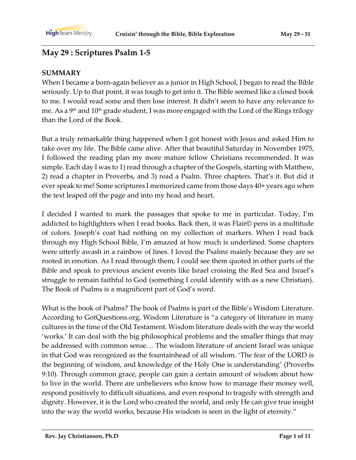### **May 29 : Scriptures Psalm 1-5**

#### **SUMMARY**

When I became a born-again believer as a junior in High School, I began to read the Bible seriously. Up to that point, it was tough to get into it. The Bible seemed like a closed book to me. I would read some and then lose interest. It didn't seem to have any relevance to me. As a 9<sup>th</sup> and 10<sup>th</sup> grade student, I was more engaged with the Lord of the Rings trilogy than the Lord of the Book.

But a truly remarkable thing happened when I got honest with Jesus and asked Him to take over my life. The Bible came alive. After that beautiful Saturday in November 1975, I followed the reading plan my more mature fellow Christians recommended. It was simple. Each day I was to 1) read through a chapter of the Gospels, starting with Matthew, 2) read a chapter in Proverbs, and 3) read a Psalm. Three chapters. That's it. But did it ever speak to me! Some scriptures I memorized came from those days 40+ years ago when the text leaped off the page and into my head and heart.

I decided I wanted to mark the passages that spoke to me in particular. Today, I'm addicted to highlighters when I read books. Back then, it was Flair© pens in a multitude of colors. Joseph's coat had nothing on my collection of markers. When I read back through my High School Bible, I'm amazed at how much is underlined. Some chapters were utterly awash in a rainbow of lines. I loved the Psalms mainly because they are so rooted in emotion. As I read through them, I could see them quoted in other parts of the Bible and speak to previous ancient events like Israel crossing the Red Sea and Israel's struggle to remain faithful to God (something I could identify with as a new Christian). The Book of Psalms is a magnificent part of God's word.

What is the book of Psalms? The book of Psalms is part of the Bible's Wisdom Literature. According to GotQuestions.org, Wisdom Literature is "a category of literature in many cultures in the time of the Old Testament. Wisdom literature deals with the way the world 'works.' It can deal with the big philosophical problems and the smaller things that may be addressed with common sense… The wisdom literature of ancient Israel was unique in that God was recognized as the fountainhead of all wisdom. 'The fear of the LORD is the beginning of wisdom, and knowledge of the Holy One is understanding' (Proverbs 9:10). Through common grace, people can gain a certain amount of wisdom about how to live in the world. There are unbelievers who know how to manage their money well, respond positively to difficult situations, and even respond to tragedy with strength and dignity. However, it is the Lord who created the world, and only He can give true insight into the way the world works, because His wisdom is seen in the light of eternity."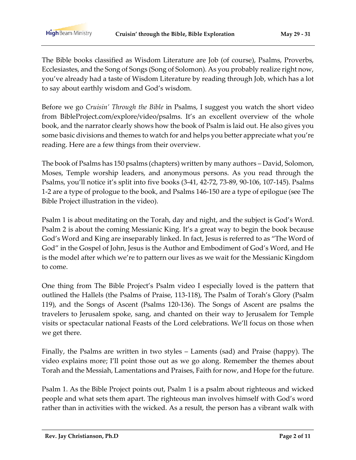The Bible books classified as Wisdom Literature are Job (of course), Psalms, Proverbs, Ecclesiastes, and the Song of Songs (Song of Solomon). As you probably realize right now, you've already had a taste of Wisdom Literature by reading through Job, which has a lot to say about earthly wisdom and God's wisdom.

Before we go *Cruisin' Through the Bible* in Psalms, I suggest you watch the short video from BibleProject.com/explore/video/psalms. It's an excellent overview of the whole book, and the narrator clearly shows how the book of Psalm is laid out. He also gives you some basic divisions and themes to watch for and helps you better appreciate what you're reading. Here are a few things from their overview.

The book of Psalms has 150 psalms (chapters) written by many authors – David, Solomon, Moses, Temple worship leaders, and anonymous persons. As you read through the Psalms, you'll notice it's split into five books (3-41, 42-72, 73-89, 90-106, 107-145). Psalms 1-2 are a type of prologue to the book, and Psalms 146-150 are a type of epilogue (see The Bible Project illustration in the video).

Psalm 1 is about meditating on the Torah, day and night, and the subject is God's Word. Psalm 2 is about the coming Messianic King. It's a great way to begin the book because God's Word and King are inseparably linked. In fact, Jesus is referred to as "The Word of God" in the Gospel of John, Jesus is the Author and Embodiment of God's Word, and He is the model after which we're to pattern our lives as we wait for the Messianic Kingdom to come.

One thing from The Bible Project's Psalm video I especially loved is the pattern that outlined the Hallels (the Psalms of Praise, 113-118), The Psalm of Torah's Glory (Psalm 119), and the Songs of Ascent (Psalms 120-136). The Songs of Ascent are psalms the travelers to Jerusalem spoke, sang, and chanted on their way to Jerusalem for Temple visits or spectacular national Feasts of the Lord celebrations. We'll focus on those when we get there.

Finally, the Psalms are written in two styles – Laments (sad) and Praise (happy). The video explains more; I'll point those out as we go along. Remember the themes about Torah and the Messiah, Lamentations and Praises, Faith for now, and Hope for the future.

Psalm 1. As the Bible Project points out, Psalm 1 is a psalm about righteous and wicked people and what sets them apart. The righteous man involves himself with God's word rather than in activities with the wicked. As a result, the person has a vibrant walk with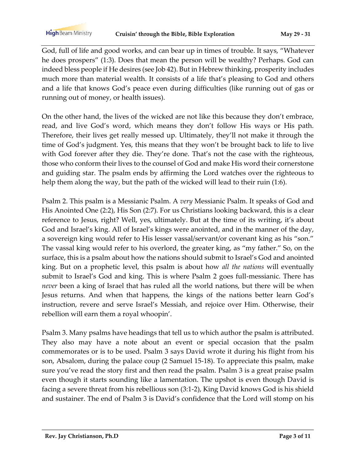God, full of life and good works, and can bear up in times of trouble. It says, "Whatever he does prospers" (1:3). Does that mean the person will be wealthy? Perhaps. God can indeed bless people if He desires (see Job 42). But in Hebrew thinking, prosperity includes much more than material wealth. It consists of a life that's pleasing to God and others and a life that knows God's peace even during difficulties (like running out of gas or running out of money, or health issues).

On the other hand, the lives of the wicked are not like this because they don't embrace, read, and live God's word, which means they don't follow His ways or His path. Therefore, their lives get really messed up. Ultimately, they'll not make it through the time of God's judgment. Yes, this means that they won't be brought back to life to live with God forever after they die. They're done. That's not the case with the righteous, those who conform their lives to the counsel of God and make His word their cornerstone and guiding star. The psalm ends by affirming the Lord watches over the righteous to help them along the way, but the path of the wicked will lead to their ruin (1:6).

Psalm 2. This psalm is a Messianic Psalm. A *very* Messianic Psalm. It speaks of God and His Anointed One (2:2), His Son (2:7). For us Christians looking backward, this is a clear reference to Jesus, right? Well, yes, ultimately. But at the time of its writing, it's about God and Israel's king. All of Israel's kings were anointed, and in the manner of the day, a sovereign king would refer to His lesser vassal/servant/or covenant king as his "son." The vassal king would refer to his overlord, the greater king, as "my father." So, on the surface, this is a psalm about how the nations should submit to Israel's God and anointed king. But on a prophetic level, this psalm is about how *all the nations* will eventually submit to Israel's God and king. This is where Psalm 2 goes full-messianic. There has *never* been a king of Israel that has ruled all the world nations, but there will be when Jesus returns. And when that happens, the kings of the nations better learn God's instruction, revere and serve Israel's Messiah, and rejoice over Him. Otherwise, their rebellion will earn them a royal whoopin'.

Psalm 3. Many psalms have headings that tell us to which author the psalm is attributed. They also may have a note about an event or special occasion that the psalm commemorates or is to be used. Psalm 3 says David wrote it during his flight from his son, Absalom, during the palace coup (2 Samuel 15-18). To appreciate this psalm, make sure you've read the story first and then read the psalm. Psalm 3 is a great praise psalm even though it starts sounding like a lamentation. The upshot is even though David is facing a severe threat from his rebellious son (3:1-2), King David knows God is his shield and sustainer. The end of Psalm 3 is David's confidence that the Lord will stomp on his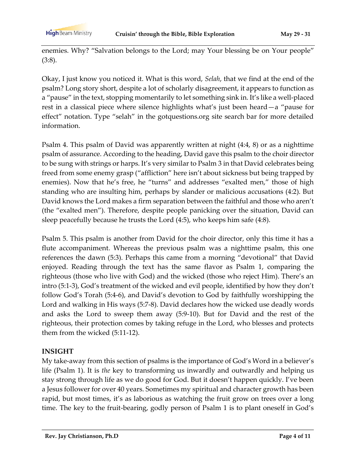**High** Beam Ministry

enemies. Why? "Salvation belongs to the Lord; may Your blessing be on Your people" (3:8).

Okay, I just know you noticed it. What is this word, *Selah*, that we find at the end of the psalm? Long story short, despite a lot of scholarly disagreement, it appears to function as a "pause" in the text, stopping momentarily to let something sink in. It's like a well-placed rest in a classical piece where silence highlights what's just been heard—a "pause for effect" notation. Type "selah" in the gotquestions.org site search bar for more detailed information.

Psalm 4. This psalm of David was apparently written at night (4:4, 8) or as a nighttime psalm of assurance. According to the heading, David gave this psalm to the choir director to be sung with strings or harps. It's very similar to Psalm 3 in that David celebrates being freed from some enemy grasp ("affliction" here isn't about sickness but being trapped by enemies). Now that he's free, he "turns" and addresses "exalted men," those of high standing who are insulting him, perhaps by slander or malicious accusations (4:2). But David knows the Lord makes a firm separation between the faithful and those who aren't (the "exalted men"). Therefore, despite people panicking over the situation, David can sleep peacefully because he trusts the Lord (4:5), who keeps him safe (4:8).

Psalm 5. This psalm is another from David for the choir director, only this time it has a flute accompaniment. Whereas the previous psalm was a nighttime psalm, this one references the dawn (5:3). Perhaps this came from a morning "devotional" that David enjoyed. Reading through the text has the same flavor as Psalm 1, comparing the righteous (those who live with God) and the wicked (those who reject Him). There's an intro (5:1-3), God's treatment of the wicked and evil people, identified by how they don't follow God's Torah (5:4-6), and David's devotion to God by faithfully worshipping the Lord and walking in His ways (5:7-8). David declares how the wicked use deadly words and asks the Lord to sweep them away (5:9-10). But for David and the rest of the righteous, their protection comes by taking refuge in the Lord, who blesses and protects them from the wicked (5:11-12).

#### **INSIGHT**

My take-away from this section of psalms is the importance of God's Word in a believer's life (Psalm 1). It is *the* key to transforming us inwardly and outwardly and helping us stay strong through life as we do good for God. But it doesn't happen quickly. I've been a Jesus follower for over 40 years. Sometimes my spiritual and character growth has been rapid, but most times, it's as laborious as watching the fruit grow on trees over a long time. The key to the fruit-bearing, godly person of Psalm 1 is to plant oneself in God's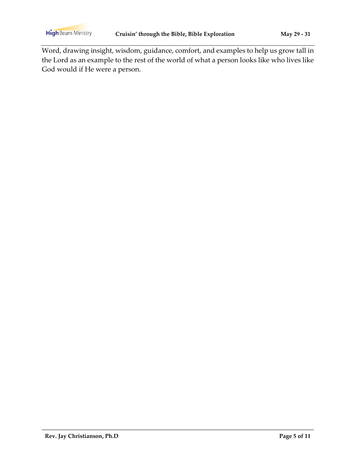**High** Beam Ministry

Word, drawing insight, wisdom, guidance, comfort, and examples to help us grow tall in the Lord as an example to the rest of the world of what a person looks like who lives like God would if He were a person.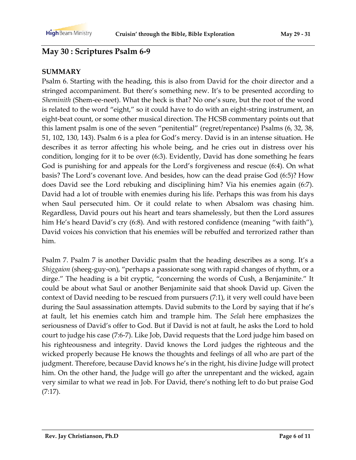## **May 30 : Scriptures Psalm 6-9**

#### **SUMMARY**

Psalm 6. Starting with the heading, this is also from David for the choir director and a stringed accompaniment. But there's something new. It's to be presented according to *Sheminith* (Shem-ee-neet). What the heck is that? No one's sure, but the root of the word is related to the word "eight," so it could have to do with an eight-string instrument, an eight-beat count, or some other musical direction. The HCSB commentary points out that this lament psalm is one of the seven "penitential" (regret/repentance) Psalms (6, 32, 38, 51, 102, 130, 143). Psalm 6 is a plea for God's mercy. David is in an intense situation. He describes it as terror affecting his whole being, and he cries out in distress over his condition, longing for it to be over (6:3). Evidently, David has done something he fears God is punishing for and appeals for the Lord's forgiveness and rescue (6:4). On what basis? The Lord's covenant love. And besides, how can the dead praise God (6:5)? How does David see the Lord rebuking and disciplining him? Via his enemies again (6:7). David had a lot of trouble with enemies during his life. Perhaps this was from his days when Saul persecuted him. Or it could relate to when Absalom was chasing him. Regardless, David pours out his heart and tears shamelessly, but then the Lord assures him He's heard David's cry (6:8). And with restored confidence (meaning "with faith"), David voices his conviction that his enemies will be rebuffed and terrorized rather than him.

Psalm 7. Psalm 7 is another Davidic psalm that the heading describes as a song. It's a *Shiggaion* (sheeg-guy-on), "perhaps a passionate song with rapid changes of rhythm, or a dirge." The heading is a bit cryptic, "concerning the words of Cush, a Benjaminite." It could be about what Saul or another Benjaminite said that shook David up. Given the context of David needing to be rescued from pursuers (7:1), it very well could have been during the Saul assassination attempts. David submits to the Lord by saying that if he's at fault, let his enemies catch him and trample him. The *Selah* here emphasizes the seriousness of David's offer to God. But if David is not at fault, he asks the Lord to hold court to judge his case (7:6-7). Like Job, David requests that the Lord judge him based on his righteousness and integrity. David knows the Lord judges the righteous and the wicked properly because He knows the thoughts and feelings of all who are part of the judgment. Therefore, because David knows he's in the right, his divine Judge will protect him. On the other hand, the Judge will go after the unrepentant and the wicked, again very similar to what we read in Job. For David, there's nothing left to do but praise God (7:17).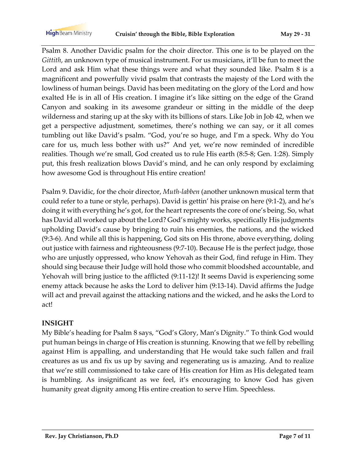Psalm 8. Another Davidic psalm for the choir director. This one is to be played on the *Gittith*, an unknown type of musical instrument. For us musicians, it'll be fun to meet the Lord and ask Him what these things were and what they sounded like. Psalm 8 is a magnificent and powerfully vivid psalm that contrasts the majesty of the Lord with the lowliness of human beings. David has been meditating on the glory of the Lord and how exalted He is in all of His creation. I imagine it's like sitting on the edge of the Grand Canyon and soaking in its awesome grandeur or sitting in the middle of the deep wilderness and staring up at the sky with its billions of stars. Like Job in Job 42, when we get a perspective adjustment, sometimes, there's nothing we can say, or it all comes tumbling out like David's psalm. "God, you're so huge, and I'm a speck. Why do You care for us, much less bother with us?" And yet, we're now reminded of incredible realities. Though we're small, God created us to rule His earth (8:5-8; Gen. 1:28). Simply put, this fresh realization blows David's mind, and he can only respond by exclaiming how awesome God is throughout His entire creation!

Psalm 9. Davidic, for the choir director, *Muth-labben* (another unknown musical term that could refer to a tune or style, perhaps). David is gettin' his praise on here (9:1-2), and he's doing it with everything he's got, for the heart represents the core of one's being. So, what has David all worked up about the Lord? God's mighty works, specifically His judgments upholding David's cause by bringing to ruin his enemies, the nations, and the wicked (9:3-6). And while all this is happening, God sits on His throne, above everything, doling out justice with fairness and righteousness (9:7-10). Because He is the perfect judge, those who are unjustly oppressed, who know Yehovah as their God, find refuge in Him. They should sing because their Judge will hold those who commit bloodshed accountable, and Yehovah will bring justice to the afflicted (9:11-12)! It seems David is experiencing some enemy attack because he asks the Lord to deliver him (9:13-14). David affirms the Judge will act and prevail against the attacking nations and the wicked, and he asks the Lord to act!

#### **INSIGHT**

My Bible's heading for Psalm 8 says, "God's Glory, Man's Dignity." To think God would put human beings in charge of His creation is stunning. Knowing that we fell by rebelling against Him is appalling, and understanding that He would take such fallen and frail creatures as us and fix us up by saving and regenerating us is amazing. And to realize that we're still commissioned to take care of His creation for Him as His delegated team is humbling. As insignificant as we feel, it's encouraging to know God has given humanity great dignity among His entire creation to serve Him. Speechless.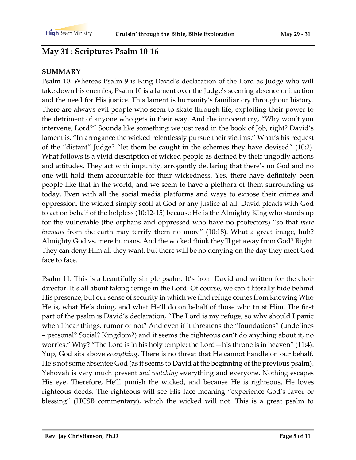# **May 31 : Scriptures Psalm 10-16**

#### **SUMMARY**

Psalm 10. Whereas Psalm 9 is King David's declaration of the Lord as Judge who will take down his enemies, Psalm 10 is a lament over the Judge's seeming absence or inaction and the need for His justice. This lament is humanity's familiar cry throughout history. There are always evil people who seem to skate through life, exploiting their power to the detriment of anyone who gets in their way. And the innocent cry, "Why won't you intervene, Lord?" Sounds like something we just read in the book of Job, right? David's lament is, "In arrogance the wicked relentlessly pursue their victims." What's his request of the "distant" Judge? "let them be caught in the schemes they have devised" (10:2). What follows is a vivid description of wicked people as defined by their ungodly actions and attitudes. They act with impunity, arrogantly declaring that there's no God and no one will hold them accountable for their wickedness. Yes, there have definitely been people like that in the world, and we seem to have a plethora of them surrounding us today. Even with all the social media platforms and ways to expose their crimes and oppression, the wicked simply scoff at God or any justice at all. David pleads with God to act on behalf of the helpless (10:12-15) because He is the Almighty King who stands up for the vulnerable (the orphans and oppressed who have no protectors) "so that *mere humans* from the earth may terrify them no more" (10:18). What a great image, huh? Almighty God vs. mere humans. And the wicked think they'll get away from God? Right. They can deny Him all they want, but there will be no denying on the day they meet God face to face.

Psalm 11. This is a beautifully simple psalm. It's from David and written for the choir director. It's all about taking refuge in the Lord. Of course, we can't literally hide behind His presence, but our sense of security in which we find refuge comes from knowing Who He is, what He's doing, and what He'll do on behalf of those who trust Him. The first part of the psalm is David's declaration, "The Lord is my refuge, so why should I panic when I hear things, rumor or not? And even if it threatens the "foundations" (undefines – personal? Social? Kingdom?) and it seems the righteous can't do anything about it, no worries." Why? "The Lord is in his holy temple; the Lord—his throne is in heaven" (11:4). Yup, God sits above *everything*. There is no threat that He cannot handle on our behalf. He's not some absentee God (as it seems to David at the beginning of the previous psalm). Yehovah is very much present *and watching* everything and everyone. Nothing escapes His eye. Therefore, He'll punish the wicked, and because He is righteous, He loves righteous deeds. The righteous will see His face meaning "experience God's favor or blessing" (HCSB commentary), which the wicked will not. This is a great psalm to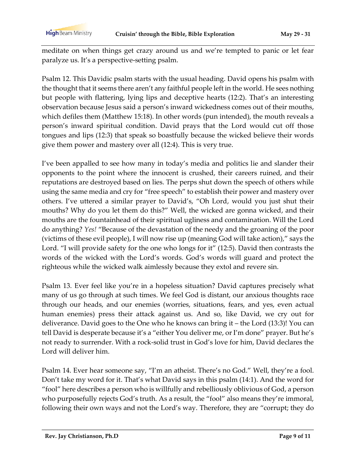meditate on when things get crazy around us and we're tempted to panic or let fear paralyze us. It's a perspective-setting psalm.

Psalm 12. This Davidic psalm starts with the usual heading. David opens his psalm with the thought that it seems there aren't any faithful people left in the world. He sees nothing but people with flattering, lying lips and deceptive hearts (12:2). That's an interesting observation because Jesus said a person's inward wickedness comes out of their mouths, which defiles them (Matthew 15:18). In other words (pun intended), the mouth reveals a person's inward spiritual condition. David prays that the Lord would cut off those tongues and lips (12:3) that speak so boastfully because the wicked believe their words give them power and mastery over all (12:4). This is very true.

I've been appalled to see how many in today's media and politics lie and slander their opponents to the point where the innocent is crushed, their careers ruined, and their reputations are destroyed based on lies. The perps shut down the speech of others while using the same media and cry for "free speech" to establish their power and mastery over others. I've uttered a similar prayer to David's, "Oh Lord, would you just shut their mouths? Why do you let them do this?" Well, the wicked are gonna wicked, and their mouths are the fountainhead of their spiritual ugliness and contamination. Will the Lord do anything? *Yes!* "Because of the devastation of the needy and the groaning of the poor (victims of these evil people), I will now rise up (meaning God will take action)," says the Lord. "I will provide safety for the one who longs for it" (12:5). David then contrasts the words of the wicked with the Lord's words. God's words will guard and protect the righteous while the wicked walk aimlessly because they extol and revere sin.

Psalm 13. Ever feel like you're in a hopeless situation? David captures precisely what many of us go through at such times. We feel God is distant, our anxious thoughts race through our heads, and our enemies (worries, situations, fears, and yes, even actual human enemies) press their attack against us. And so, like David, we cry out for deliverance. David goes to the One who he knows can bring it – the Lord (13:3)! You can tell David is desperate because it's a "either You deliver me, or I'm done" prayer. But he's not ready to surrender. With a rock-solid trust in God's love for him, David declares the Lord will deliver him.

Psalm 14. Ever hear someone say, "I'm an atheist. There's no God." Well, they're a fool. Don't take my word for it. That's what David says in this psalm (14:1). And the word for "fool" here describes a person who is willfully and rebelliously oblivious of God, a person who purposefully rejects God's truth. As a result, the "fool" also means they're immoral, following their own ways and not the Lord's way. Therefore, they are "corrupt; they do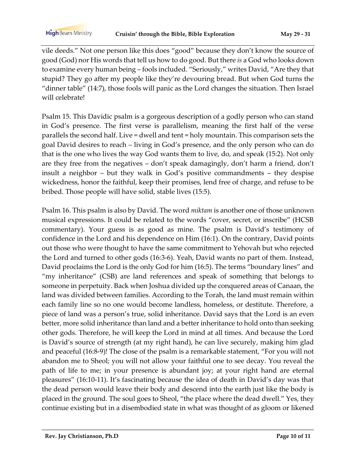vile deeds." Not one person like this does "good" because they don't know the source of good (God) nor His words that tell us how to do good. But there *is* a God who looks down to examine every human being – fools included. "Seriously," writes David, "Are they that stupid? They go after my people like they're devouring bread. But when God turns the "dinner table" (14:7), those fools will panic as the Lord changes the situation. Then Israel will celebrate!

Psalm 15. This Davidic psalm is a gorgeous description of a godly person who can stand in God's presence. The first verse is parallelism, meaning the first half of the verse parallels the second half. Live = dwell and tent = holy mountain. This comparison sets the goal David desires to reach – living in God's presence, and the only person who can do that is the one who lives the way God wants them to live, do, and speak (15:2). Not only are they free from the negatives – don't speak damagingly, don't harm a friend, don't insult a neighbor – but they walk in God's positive commandments – they despise wickedness, honor the faithful, keep their promises, lend free of charge, and refuse to be bribed. Those people will have solid, stable lives (15:5).

Psalm 16. This psalm is also by David. The word *miktam* is another one of those unknown musical expressions. It could be related to the words "cover, secret, or inscribe" (HCSB commentary). Your guess is as good as mine. The psalm is David's testimony of confidence in the Lord and his dependence on Him (16:1). On the contrary, David points out those who were thought to have the same commitment to Yehovah but who rejected the Lord and turned to other gods (16:3-6). Yeah, David wants no part of them. Instead, David proclaims the Lord is the only God for him (16:5). The terms "boundary lines" and "my inheritance" (CSB) are land references and speak of something that belongs to someone in perpetuity. Back when Joshua divided up the conquered areas of Canaan, the land was divided between families. According to the Torah, the land must remain within each family line so no one would become landless, homeless, or destitute. Therefore, a piece of land was a person's true, solid inheritance. David says that the Lord is an even better, more solid inheritance than land and a better inheritance to hold onto than seeking other gods. Therefore, he will keep the Lord in mind at all times. And because the Lord is David's source of strength (at my right hand), he can live securely, making him glad and peaceful (16:8-9)! The close of the psalm is a remarkable statement, "For you will not abandon me to Sheol; you will not allow your faithful one to see decay. You reveal the path of life to me; in your presence is abundant joy; at your right hand are eternal pleasures" (16:10-11). It's fascinating because the idea of death in David's day was that the dead person would leave their body and descend into the earth just like the body is placed in the ground. The soul goes to Sheol, "the place where the dead dwell." Yes, they continue existing but in a disembodied state in what was thought of as gloom or likened